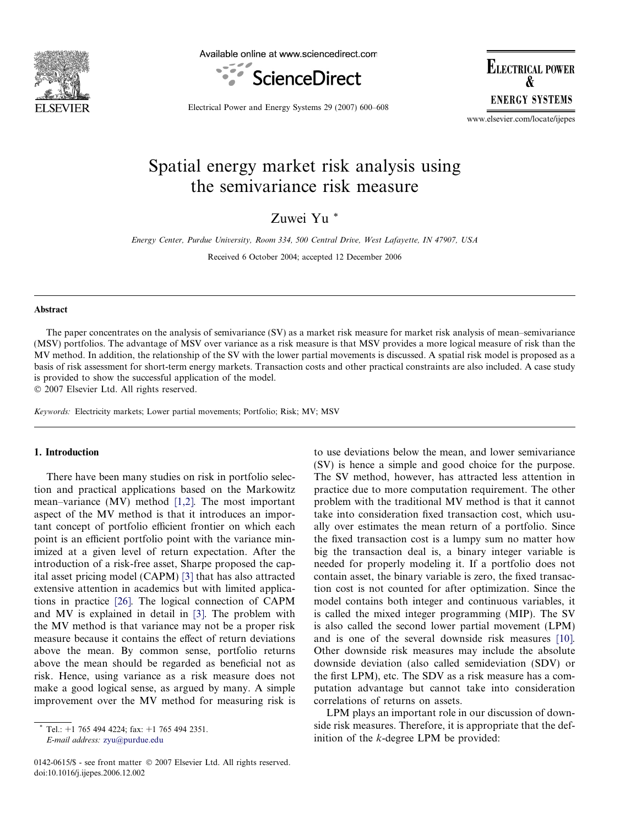

Available online at www.sciencedirect.com



**ELECTRICAL POWER ENERGY SYSTEMS** 

Electrical Power and Energy Systems 29 (2007) 600–608

www.elsevier.com/locate/ijepes

## Spatial energy market risk analysis using the semivariance risk measure

Zuwei Yu \*

Energy Center, Purdue University, Room 334, 500 Central Drive, West Lafayette, IN 47907, USA Received 6 October 2004; accepted 12 December 2006

#### Abstract

The paper concentrates on the analysis of semivariance (SV) as a market risk measure for market risk analysis of mean–semivariance (MSV) portfolios. The advantage of MSV over variance as a risk measure is that MSV provides a more logical measure of risk than the MV method. In addition, the relationship of the SV with the lower partial movements is discussed. A spatial risk model is proposed as a basis of risk assessment for short-term energy markets. Transaction costs and other practical constraints are also included. A case study is provided to show the successful application of the model.

- 2007 Elsevier Ltd. All rights reserved.

Keywords: Electricity markets; Lower partial movements; Portfolio; Risk; MV; MSV

### 1. Introduction

There have been many studies on risk in portfolio selection and practical applications based on the Markowitz mean–variance (MV) method [\[1,2\].](#page--1-0) The most important aspect of the MV method is that it introduces an important concept of portfolio efficient frontier on which each point is an efficient portfolio point with the variance minimized at a given level of return expectation. After the introduction of a risk-free asset, Sharpe proposed the capital asset pricing model (CAPM) [\[3\]](#page--1-0) that has also attracted extensive attention in academics but with limited applications in practice [\[26\].](#page--1-0) The logical connection of CAPM and MV is explained in detail in [\[3\]](#page--1-0). The problem with the MV method is that variance may not be a proper risk measure because it contains the effect of return deviations above the mean. By common sense, portfolio returns above the mean should be regarded as beneficial not as risk. Hence, using variance as a risk measure does not make a good logical sense, as argued by many. A simple improvement over the MV method for measuring risk is

0142-0615/\$ - see front matter © 2007 Elsevier Ltd. All rights reserved. doi:10.1016/j.ijepes.2006.12.002

to use deviations below the mean, and lower semivariance (SV) is hence a simple and good choice for the purpose. The SV method, however, has attracted less attention in practice due to more computation requirement. The other problem with the traditional MV method is that it cannot take into consideration fixed transaction cost, which usually over estimates the mean return of a portfolio. Since the fixed transaction cost is a lumpy sum no matter how big the transaction deal is, a binary integer variable is needed for properly modeling it. If a portfolio does not contain asset, the binary variable is zero, the fixed transaction cost is not counted for after optimization. Since the model contains both integer and continuous variables, it is called the mixed integer programming (MIP). The SV is also called the second lower partial movement (LPM) and is one of the several downside risk measures [\[10\]](#page--1-0). Other downside risk measures may include the absolute downside deviation (also called semideviation (SDV) or the first LPM), etc. The SDV as a risk measure has a computation advantage but cannot take into consideration correlations of returns on assets.

LPM plays an important role in our discussion of downside risk measures. Therefore, it is appropriate that the definition of the k-degree LPM be provided:

Tel.:  $+1$  765 494 4224; fax:  $+1$  765 494 2351. E-mail address: [zyu@purdue.edu](mailto:zyu@purdue.edu)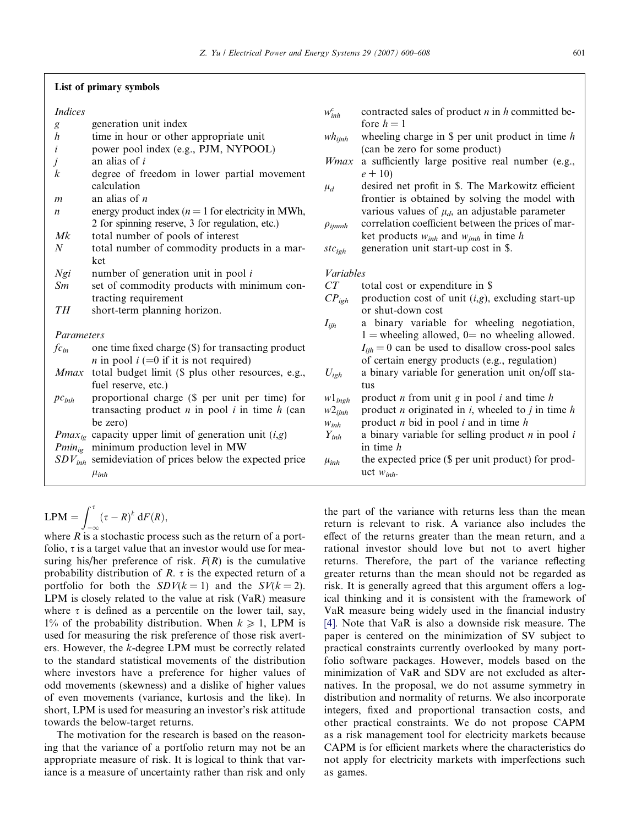#### List of primary symbols

### Indices

- g generation unit index
- $h$  time in hour or other appropriate unit
- i power pool index (e.g., PJM, NYPOOL)
- $j$  an alias of i
- k degree of freedom in lower partial movement calculation
- $m$  an alias of  $n$
- n energy product index  $(n = 1$  for electricity in MWh, 2 for spinning reserve, 3 for regulation, etc.)
- Mk total number of pools of interest
- N total number of commodity products in a market
- $Ngi$  number of generation unit in pool i
- $Sm$  set of commodity products with minimum contracting requirement
- TH short-term planning horizon.

Parameters

- $fc<sub>in</sub>$  one time fixed charge (\$) for transacting product *n* in pool  $i (=0$  if it is not required)
- Mmax total budget limit (\$ plus other resources, e.g., fuel reserve, etc.)
- $pc<sub>inh</sub>$  proportional charge (\$ per unit per time) for transacting product  $n$  in pool  $i$  in time  $h$  (can be zero)
- *Pmax<sub>ig</sub>* capacity upper limit of generation unit  $(i, g)$
- $Pmin_{ig}$  minimum production level in MW
- $SDV<sub>inh</sub>$  semideviation of prices below the expected price  $\mu_{inh}$

$$
LPM = \int_{-\infty}^{\tau} (\tau - R)^k dF(R),
$$

where  $R$  is a stochastic process such as the return of a portfolio,  $\tau$  is a target value that an investor would use for measuring his/her preference of risk.  $F(R)$  is the cumulative probability distribution of  $R$ .  $\tau$  is the expected return of a portfolio for both the  $SDV(k = 1)$  and the  $SV(k = 2)$ . LPM is closely related to the value at risk (VaR) measure where  $\tau$  is defined as a percentile on the lower tail, say, 1% of the probability distribution. When  $k \ge 1$ , LPM is used for measuring the risk preference of those risk averters. However, the k-degree LPM must be correctly related to the standard statistical movements of the distribution where investors have a preference for higher values of odd movements (skewness) and a dislike of higher values of even movements (variance, kurtosis and the like). In short, LPM is used for measuring an investor's risk attitude towards the below-target returns.

The motivation for the research is based on the reasoning that the variance of a portfolio return may not be an appropriate measure of risk. It is logical to think that variance is a measure of uncertainty rather than risk and only  $w_{inh}^c$ contracted sales of product  $n$  in  $h$  committed before  $h = 1$ 

- $wh_{iinh}$  wheeling charge in \$ per unit product in time h (can be zero for some product)
- Wmax a sufficiently large positive real number (e.g.,  $e + 10$
- $\mu_d$  desired net profit in \$. The Markowitz efficient frontier is obtained by solving the model with various values of  $\mu_d$ , an adjustable parameter
- $\rho_{ijmnh}$  correlation coefficient between the prices of market products  $w_{inh}$  and  $w_{jmh}$  in time h

 $stc_{\text{coh}}$  generation unit start-up cost in \$.

#### Variables

- $CT$  total cost or expenditure in \$
- $CP<sub>igh</sub>$  production cost of unit (i,g), excluding start-up or shut-down cost  $I_{iih}$  a binary variable for wheeling negotiation,  $1 =$  wheeling allowed,  $0 =$  no wheeling allowed.  $I_{iih} = 0$  can be used to disallow cross-pool sales of certain energy products (e.g., regulation)  $U_{\text{igh}}$  a binary variable for generation unit on/off status
- $w1_{\text{in}eh}$  product *n* from unit *g* in pool *i* and time *h*
- $w2<sub>ijnh</sub>$  product *n* originated in *i*, wheeled to *j* in time *h*
- 
- $w_{inh}$  product *n* bid in pool *i* and in time *h*  $Y_{inh}$  a binary variable for selling product *i* a binary variable for selling product  $n$  in pool  $i$ in time h
- $\mu_{inh}$  the expected price (\$ per unit product) for product  $w_{inh}$ .

the part of the variance with returns less than the mean return is relevant to risk. A variance also includes the effect of the returns greater than the mean return, and a rational investor should love but not to avert higher returns. Therefore, the part of the variance reflecting greater returns than the mean should not be regarded as risk. It is generally agreed that this argument offers a logical thinking and it is consistent with the framework of VaR measure being widely used in the financial industry [\[4\].](#page--1-0) Note that VaR is also a downside risk measure. The paper is centered on the minimization of SV subject to practical constraints currently overlooked by many portfolio software packages. However, models based on the minimization of VaR and SDV are not excluded as alternatives. In the proposal, we do not assume symmetry in distribution and normality of returns. We also incorporate integers, fixed and proportional transaction costs, and other practical constraints. We do not propose CAPM as a risk management tool for electricity markets because CAPM is for efficient markets where the characteristics do not apply for electricity markets with imperfections such as games.